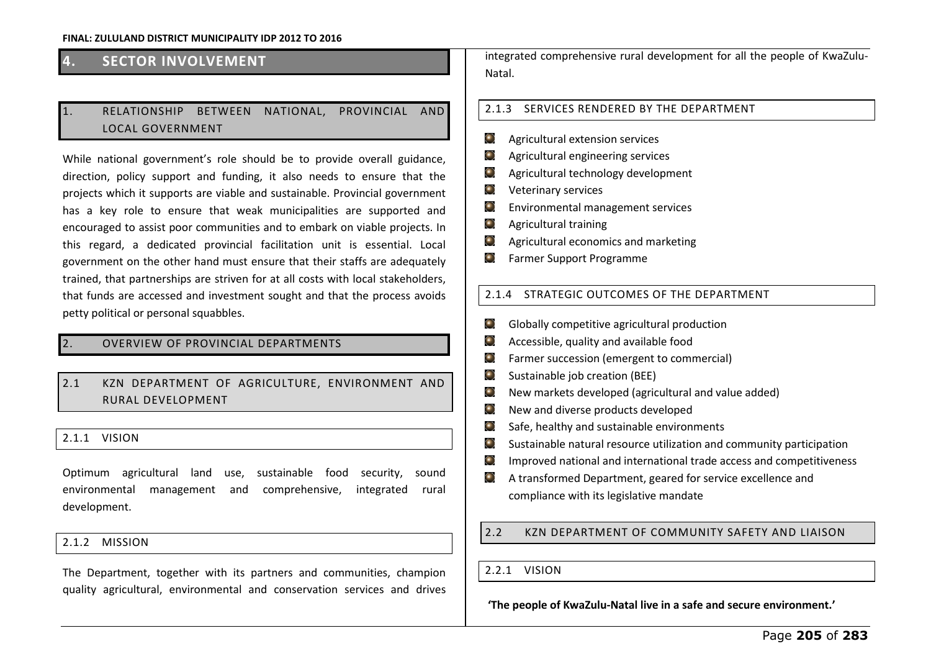# **4. SECTOR INVOLVEMENT**

# 1. RELATIONSHIP BETWEEN NATIONAL, PROVINCIAL AND LOCAL GOVERNMENT

While national government's role should be to provide overall guidance, direction, policy support and funding, it also needs to ensure that the projects which it supports are viable and sustainable. Provincial government has a key role to ensure that weak municipalities are supported and encouraged to assist poor communities and to embark on viable projects. In this regard, a dedicated provincial facilitation unit is essential. Local government on the other hand must ensure that their staffs are adequately trained, that partnerships are striven for at all costs with local stakeholders, that funds are accessed and investment sought and that the process avoids petty political or personal squabbles.

## 2. OVERVIEW OF PROVINCIAL DEPARTMENTS

# 2.1 KZN DEPARTMENT OF AGRICULTURE, ENVIRONMENT AND RURAL DEVELOPMENT

## 2.1.1 VISION

Optimum agricultural land use, sustainable food security, sound environmental management and comprehensive, integrated rural development.

## 2.1.2 MISSION

The Department, together with its partners and communities, champion quality agricultural, environmental and conservation services and drives integrated comprehensive rural development for all the people of KwaZulu-Natal.

## 2.1.3 SERVICES RENDERED BY THE DEPARTMENT

- $\bigodot$ Agricultural extension services
- $\odot$ Agricultural engineering services
- $\odot$ Agricultural technology development
- $\odot$ Veterinary services
- $\odot$ Environmental management services
- $\odot$ Agricultural training
- $\odot$ Agricultural economics and marketing
- $\odot$ Farmer Support Programme

## 2.1.4 STRATEGIC OUTCOMES OF THE DEPARTMENT

- $\bigodot$ Globally competitive agricultural production
- Accessible, quality and available food  $\bigodot$
- $\bigodot$ Farmer succession (emergent to commercial)
- Θ Sustainable job creation (BEE)
- $\odot$ New markets developed (agricultural and value added)
- $\bigodot$ New and diverse products developed
- $\odot$ Safe, healthy and sustainable environments
- $\bullet$ Sustainable natural resource utilization and community participation
- $\odot$ Improved national and international trade access and competitiveness
- A transformed Department, geared for service excellence and  $\left( \begin{array}{c} \bullet \end{array} \right)$ compliance with its legislative mandate

## 2.2 KZN DEPARTMENT OF COMMUNITY SAFETY AND LIAISON

#### 2.2.1 VISION

'The people of KwaZulu-Natal live in a safe and secure environment.'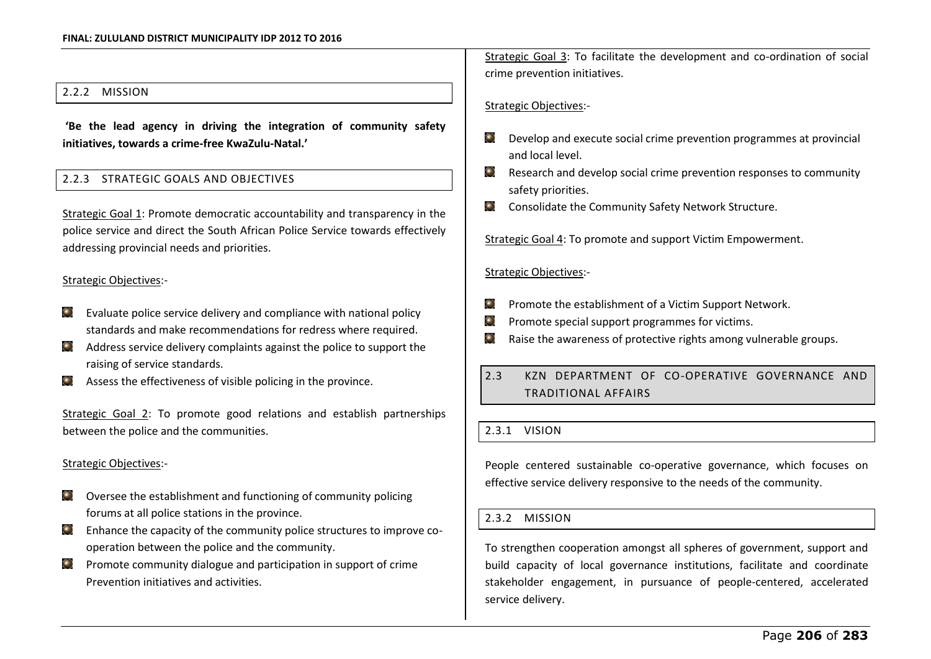## 2.2.2 MISSION

'Be the lead agency in driving the integration of community safety initiatives, towards a crime-free KwaZulu-Natal.'

## 2.2.3 STRATEGIC GOALS AND OBJECTIVES

Strategic Goal 1: Promote democratic accountability and transparency in the police service and direct the South African Police Service towards effectively addressing provincial needs and priorities.

## Strategic Objectives:-

- Evaluate police service delivery and compliance with national policy  $\left( \bullet \right)$ standards and make recommendations for redress where required.
- Address service delivery complaints against the police to support the raising of service standards.
- Assess the effectiveness of visible policing in the province.

Strategic Goal 2: To promote good relations and establish partnerships between the police and the communities.

## Strategic Objectives:-

- Oversee the establishment and functioning of community policing forums at all police stations in the province.
- $\bullet$ Enhance the capacity of the community police structures to improve cooperation between the police and the community.
- Promote community dialogue and participation in support of crime  $\bigodot$ Prevention initiatives and activities.

Strategic Goal 3: To facilitate the development and co-ordination of social crime prevention initiatives.

Strategic Objectives:-

- Develop and execute social crime prevention programmes at provincial  $\odot$ and local level.
- Research and develop social crime prevention responses to community  $\odot$ safety priorities.
- $\left( \begin{matrix} \bullet \\ \bullet \end{matrix} \right)$ Consolidate the Community Safety Network Structure.

Strategic Goal 4: To promote and support Victim Empowerment.

### Strategic Objectives:-

- $\bigodot$ Promote the establishment of a Victim Support Network.
- $\odot$ Promote special support programmes for victims.
- Raise the awareness of protective rights among vulnerable groups.  $\bigodot$
- 2.3 KZN DEPARTMENT OF CO-OPERATIVE GOVERNANCE AND TRADITIONAL AFFAIRS

## 2.3.1 VISION

People centered sustainable co-operative governance, which focuses on effective service delivery responsive to the needs of the community.

## 2.3.2 MISSION

To strengthen cooperation amongst all spheres of government, support and build capacity of local governance institutions, facilitate and coordinate stakeholder engagement, in pursuance of people-centered, accelerated service delivery.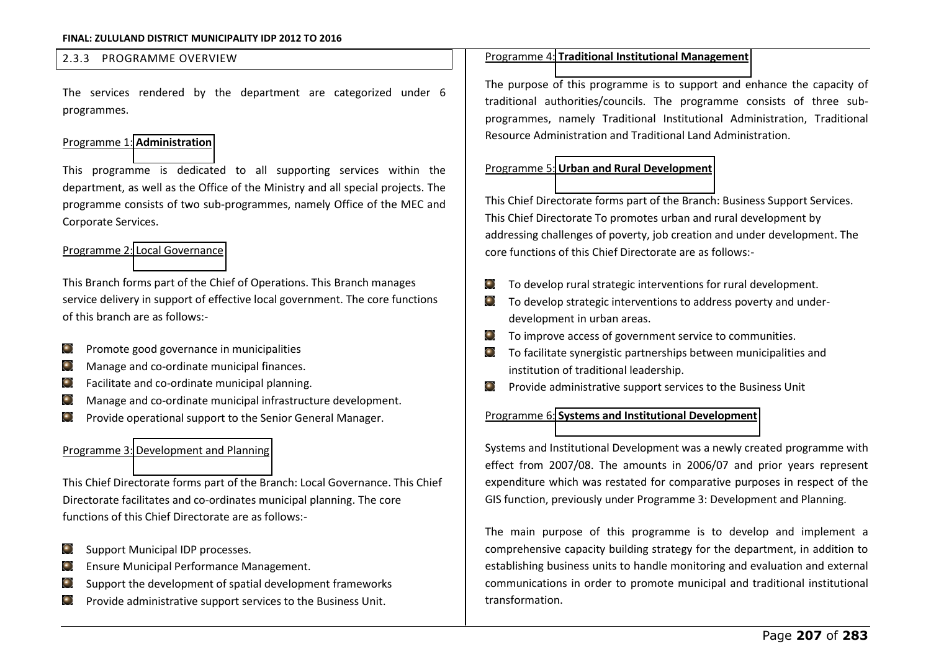## 2.3.3 PROGRAMME OVERVIEW

The services rendered by the department are categorized under 6 programmes.

### Programme 1: **[Administration](http://www.kzncogta.gov.za/LinkClick.aspx?link=108&tabid=71&language=en-US)**

This programme is dedicated to all supporting services within the department, as well as the Office of the Ministry and all special projects. The programme consists of two sub-programmes, namely Office of the MEC and Corporate Services.

## Programme 2: [Local Governance](http://www.kzncogta.gov.za/LinkClick.aspx?link=109&tabid=71&language=en-US)

This Branch forms part of the Chief of Operations. This Branch manages service delivery in support of effective local government. The core functions of this branch are as follows:-

- Promote good governance in municipalities  $\bigodot$
- Manage and co-ordinate municipal finances.  $\bullet$
- Facilitate and co-ordinate municipal planning.  $\left( \bullet \right)$
- Manage and co-ordinate municipal infrastructure development.  $\odot$
- Provide operational support to the Senior General Manager.  $\left( \bullet \right)$

## Programme 3: [Development and Planning](http://www.kzncogta.gov.za/LinkClick.aspx?link=110&tabid=71&language=en-US)

This Chief Directorate forms part of the Branch: Local Governance. This Chief Directorate facilitates and co-ordinates municipal planning. The core functions of this Chief Directorate are as follows:-

- Support Municipal IDP processes.  $\bullet$
- Ensure Municipal Performance Management.
- Support the development of spatial development frameworks
- Provide administrative support services to the Business Unit.

## Programme 4: **[Traditional Institutional Management](http://www.kzncogta.gov.za/LinkClick.aspx?link=111&tabid=71&language=en-US)**

The purpose of this programme is to support and enhance the capacity of traditional authorities/councils. The programme consists of three subprogrammes, namely Traditional Institutional Administration, Traditional Resource Administration and Traditional Land Administration.

## Programme 5: **[Urban and Rural Development](http://www.kzncogta.gov.za/LinkClick.aspx?link=112&tabid=71&language=en-US)**

This Chief Directorate forms part of the Branch: Business Support Services. This Chief Directorate To promotes urban and rural development by addressing challenges of poverty, job creation and under development. The core functions of this Chief Directorate are as follows:-

- To develop rural strategic interventions for rural development.  $\bigodot$
- $\bigodot$ To develop strategic interventions to address poverty and underdevelopment in urban areas.
- To improve access of government service to communities.  $\odot$
- To facilitate synergistic partnerships between municipalities and institution of traditional leadership.
- $\bigodot$ Provide administrative support services to the Business Unit

### Programme 6: **[Systems and Institutional Development](http://www.kzncogta.gov.za/LinkClick.aspx?link=113&tabid=71&language=en-US)**

Systems and Institutional Development was a newly created programme with effect from 2007/08. The amounts in 2006/07 and prior years represent expenditure which was restated for comparative purposes in respect of the GIS function, previously under Programme 3: Development and Planning.

The main purpose of this programme is to develop and implement a comprehensive capacity building strategy for the department, in addition to establishing business units to handle monitoring and evaluation and external communications in order to promote municipal and traditional institutional transformation.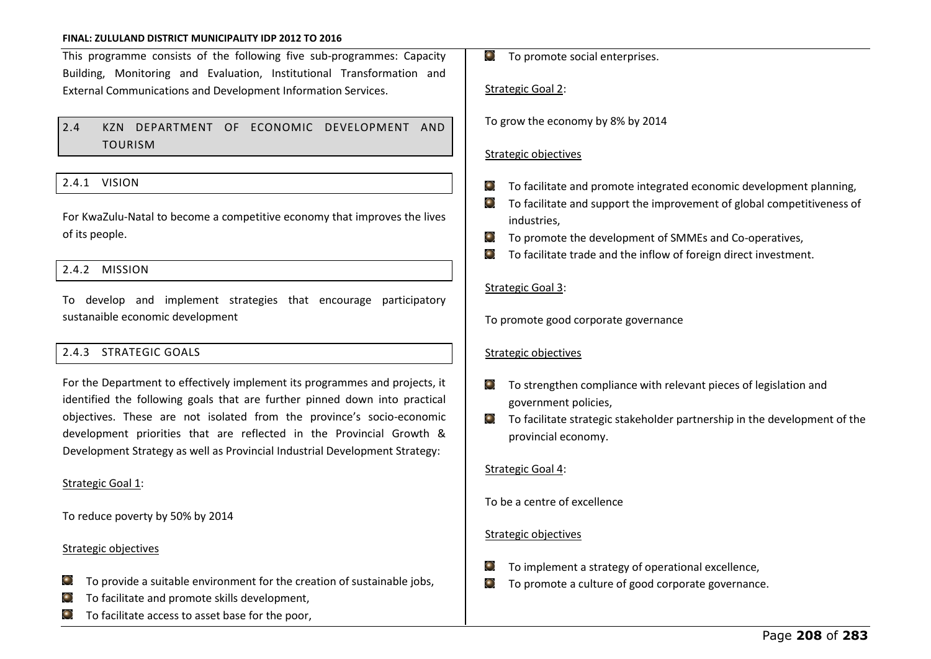This programme consists of the following five sub-programmes: Capacity Building, Monitoring and Evaluation, Institutional Transformation and External Communications and Development Information Services.

# 2.4 KZN DEPARTMENT OF ECONOMIC DEVELOPMENT AND TOURISM

## 2.4.1 VISION

For KwaZulu-Natal to become a competitive economy that improves the lives of its people.

## 2.4.2 MISSION

To develop and implement strategies that encourage participatory sustanaible economic development

## 2.4.3 STRATEGIC GOALS

For the Department to effectively implement its programmes and projects, it identified the following goals that are further pinned down into practical objectives. These are not isolated from the province's socio-economic development priorities that are reflected in the Provincial Growth & Development Strategy as well as Provincial Industrial Development Strategy:

#### Strategic Goal 1:

To reduce poverty by 50% by 2014

#### Strategic objectives

- To provide a suitable environment for the creation of sustainable jobs,  $\left( \bullet \right)$
- To facilitate and promote skills development,
- To facilitate access to asset base for the poor,

 $\bullet$  To promote social enterprises.

#### Strategic Goal 2:

To grow the economy by 8% by 2014

## Strategic objectives

- To facilitate and promote integrated economic development planning,  $\bigodot$
- To facilitate and support the improvement of global competitiveness of industries,
- $\odot$ To promote the development of SMMEs and Co-operatives,
- $\bigodot$ To facilitate trade and the inflow of foreign direct investment.

## Strategic Goal 3:

To promote good corporate governance

#### Strategic objectives

- To strengthen compliance with relevant pieces of legislation and  $\left( \bullet \right)$ government policies,
- To facilitate strategic stakeholder partnership in the development of the  $\bullet$ provincial economy.

## Strategic Goal 4:

To be a centre of excellence

## Strategic objectives

- To implement a strategy of operational excellence,
- To promote a culture of good corporate governance. $\bigodot$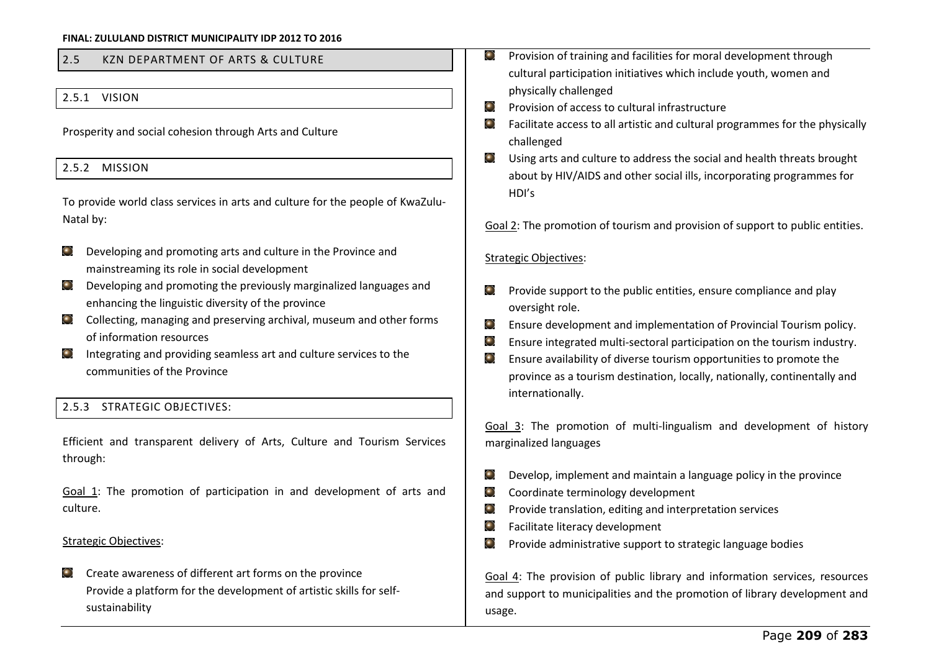# 2.5 KZN DEPARTMENT OF ARTS & CULTURE

## 2.5.1 VISION

Prosperity and social cohesion through Arts and Culture

## 2.5.2 MISSION

To provide world class services in arts and culture for the people of KwaZulu-Natal by:

- $\bullet$ Developing and promoting arts and culture in the Province and mainstreaming its role in social development
- Developing and promoting the previously marginalized languages and enhancing the linguistic diversity of the province
- Collecting, managing and preserving archival, museum and other forms of information resources
- Integrating and providing seamless art and culture services to the  $\bullet$ communities of the Province

## 2.5.3 STRATEGIC OBJECTIVES:

Efficient and transparent delivery of Arts, Culture and Tourism Services through:

Goal 1: The promotion of participation in and development of arts and culture.

## Strategic Objectives:

Create awareness of different art forms on the province  $\left( \bullet \right)$ Provide a platform for the development of artistic skills for selfsustainability

- Provision of training and facilities for moral development through ⊙ cultural participation initiatives which include youth, women and physically challenged
- Provision of access to cultural infrastructure
- $\bullet$ Facilitate access to all artistic and cultural programmes for the physically challenged
- $\left( \bullet \right)$ Using arts and culture to address the social and health threats brought about by HIV/AIDS and other social ills, incorporating programmes for HDI's
- Goal 2: The promotion of tourism and provision of support to public entities.

### Strategic Objectives:

- Provide support to the public entities, ensure compliance and play  $\left( \begin{matrix} \bullet \\ \bullet \end{matrix} \right)$ oversight role.
- $\bigodot$ Ensure development and implementation of Provincial Tourism policy.
- $\bullet$ Ensure integrated multi-sectoral participation on the tourism industry.
- ۰ Ensure availability of diverse tourism opportunities to promote the province as a tourism destination, locally, nationally, continentally and internationally.

Goal 3: The promotion of multi-lingualism and development of history marginalized languages

- Develop, implement and maintain a language policy in the province  $\odot$
- $\odot$ Coordinate terminology development
- $\bullet$ Provide translation, editing and interpretation services
- $\bullet$ Facilitate literacy development
- $\odot$ Provide administrative support to strategic language bodies

Goal 4: The provision of public library and information services, resources and support to municipalities and the promotion of library development and usage.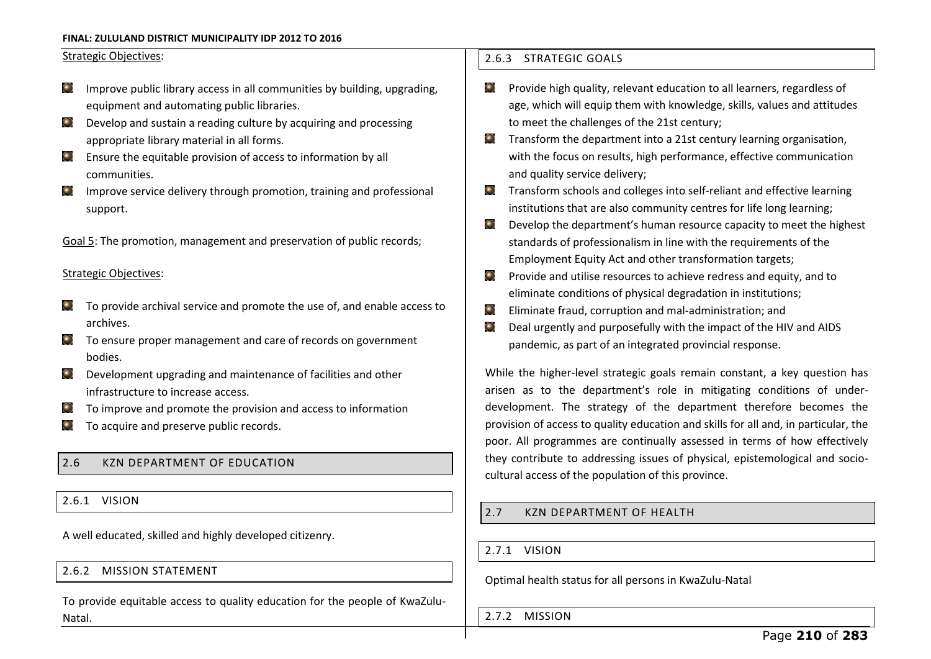## Strategic Objectives:

- Improve public library access in all communities by building, upgrading,  $\bullet$ equipment and automating public libraries.
- Develop and sustain a reading culture by acquiring and processing  $\bullet$ appropriate library material in all forms.
- $\bullet$ Ensure the equitable provision of access to information by all communities.
- Improve service delivery through promotion, training and professional  $\bullet$ support.

Goal 5: The promotion, management and preservation of public records;

## Strategic Objectives:

- To provide archival service and promote the use of, and enable access to  $\left( \bullet \right)$ archives.
- To ensure proper management and care of records on government bodies.
- Development upgrading and maintenance of facilities and other infrastructure to increase access.
- To improve and promote the provision and access to information
- To acquire and preserve public records.

# 2.6 KZN DEPARTMENT OF EDUCATION

2.6.1 VISION

A well educated, skilled and highly developed citizenry.

## 2.6.2 MISSION STATEMENT

To provide equitable access to quality education for the people of KwaZulu-Natal.

## 2.6.3 STRATEGIC GOALS

- Provide high quality, relevant education to all learners, regardless of  $\left( \begin{matrix} \bullet \\ \bullet \end{matrix} \right)$ age, which will equip them with knowledge, skills, values and attitudes to meet the challenges of the 21st century;
- $\bullet$ Transform the department into a 21st century learning organisation, with the focus on results, high performance, effective communication and quality service delivery;
- Transform schools and colleges into self-reliant and effective learning  $\bigodot$ institutions that are also community centres for life long learning;
- Develop the department's human resource capacity to meet the highest  $\bullet$ standards of professionalism in line with the requirements of the Employment Equity Act and other transformation targets;
- $\left( \begin{matrix} \bullet \\ \bullet \end{matrix} \right)$ Provide and utilise resources to achieve redress and equity, and to eliminate conditions of physical degradation in institutions;
- $\bigodot$ Eliminate fraud, corruption and mal-administration; and
- $\bigodot$ Deal urgently and purposefully with the impact of the HIV and AIDS pandemic, as part of an integrated provincial response.

While the higher-level strategic goals remain constant, a key question has arisen as to the department's role in mitigating conditions of underdevelopment. The strategy of the department therefore becomes the provision of access to quality education and skills for all and, in particular, the poor. All programmes are continually assessed in terms of how effectively they contribute to addressing issues of physical, epistemological and sociocultural access of the population of this province.

# 2.7 KZN DEPARTMENT OF HEALTH

2.7.1 VISION

Optimal health status for all persons in KwaZulu-Natal

2.7.2 MISSION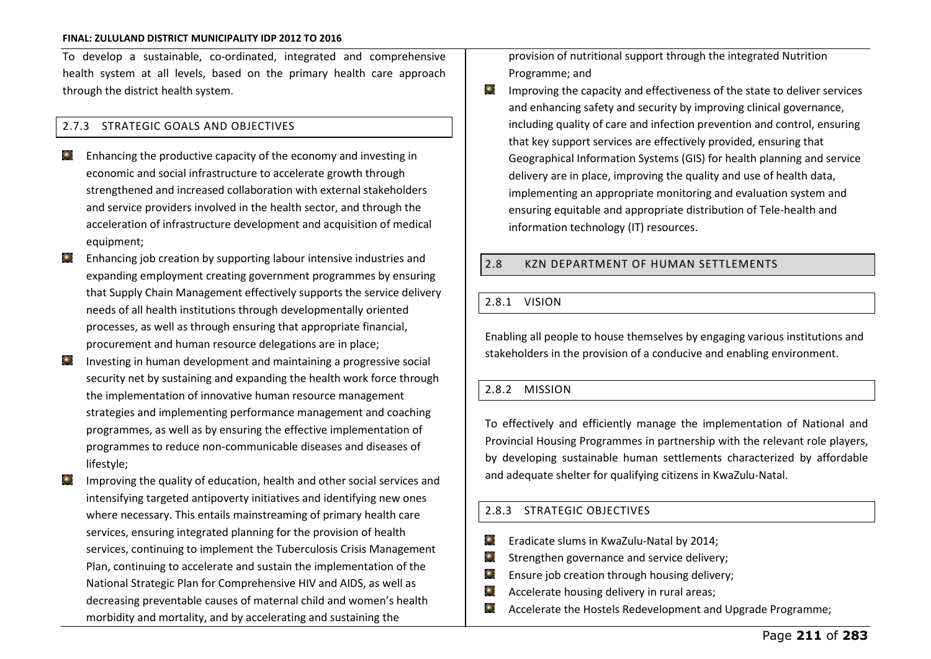To develop a sustainable, co-ordinated, integrated and comprehensive health system at all levels, based on the primary health care approach through the district health system.

## 2.7.3 STRATEGIC GOALS AND OBJECTIVES

- Enhancing the productive capacity of the economy and investing in  $\bigodot$ economic and social infrastructure to accelerate growth through strengthened and increased collaboration with external stakeholders and service providers involved in the health sector, and through the acceleration of infrastructure development and acquisition of medical equipment;
- $\bullet$ Enhancing job creation by supporting labour intensive industries and expanding employment creating government programmes by ensuring that Supply Chain Management effectively supports the service delivery needs of all health institutions through developmentally oriented processes, as well as through ensuring that appropriate financial, procurement and human resource delegations are in place;
- Investing in human development and maintaining a progressive social  $\bullet$ security net by sustaining and expanding the health work force through the implementation of innovative human resource management strategies and implementing performance management and coaching programmes, as well as by ensuring the effective implementation of programmes to reduce non-communicable diseases and diseases of lifestyle;
- Improving the quality of education, health and other social services and  $\bullet$ intensifying targeted antipoverty initiatives and identifying new ones where necessary. This entails mainstreaming of primary health care services, ensuring integrated planning for the provision of health services, continuing to implement the Tuberculosis Crisis Management Plan, continuing to accelerate and sustain the implementation of the National Strategic Plan for Comprehensive HIV and AIDS, as well as decreasing preventable causes of maternal child and women's health morbidity and mortality, and by accelerating and sustaining the

provision of nutritional support through the integrated Nutrition Programme; and

 $\bullet$ Improving the capacity and effectiveness of the state to deliver services and enhancing safety and security by improving clinical governance, including quality of care and infection prevention and control, ensuring that key support services are effectively provided, ensuring that Geographical Information Systems (GIS) for health planning and service delivery are in place, improving the quality and use of health data, implementing an appropriate monitoring and evaluation system and ensuring equitable and appropriate distribution of Tele-health and information technology (IT) resources.

## 2.8 KZN DEPARTMENT OF HUMAN SETTLEMENTS

## 2.8.1 VISION

Enabling all people to house themselves by engaging various institutions and stakeholders in the provision of a conducive and enabling environment.

### 2.8.2 MISSION

To effectively and efficiently manage the implementation of National and Provincial Housing Programmes in partnership with the relevant role players, by developing sustainable human settlements characterized by affordable and adequate shelter for qualifying citizens in KwaZulu-Natal.

### 2.8.3 STRATEGIC OBJECTIVES

- $\bullet$ Eradicate slums in KwaZulu-Natal by 2014;
- $\odot$ Strengthen governance and service delivery;
- Ensure job creation through housing delivery;  $\odot$
- $\bigodot$ Accelerate housing delivery in rural areas;
- $\odot$ Accelerate the Hostels Redevelopment and Upgrade Programme;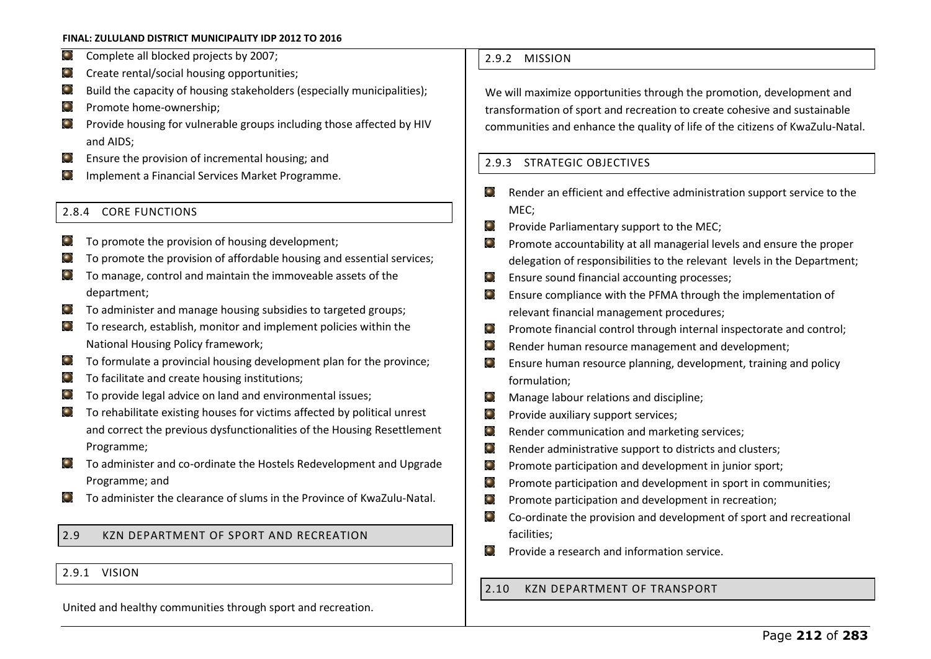- $\bigodot$ Complete all blocked projects by 2007;
- Create rental/social housing opportunities;  $\left( \begin{matrix} 0 \\ 1 \end{matrix} \right)$
- $\bullet$ Build the capacity of housing stakeholders (especially municipalities);
- $\left( \begin{matrix} 0 \\ 1 \end{matrix} \right)$ Promote home-ownership;
- Provide housing for vulnerable groups including those affected by HIV  $\bullet$ and AIDS;
- $\left( \begin{matrix} 0 \\ 1 \end{matrix} \right)$ Ensure the provision of incremental housing; and
- Implement a Financial Services Market Programme.

## 2.8.4 CORE FUNCTIONS

- To promote the provision of housing development;
- To promote the provision of affordable housing and essential services;
- To manage, control and maintain the immoveable assets of the department;
- $\bullet$ To administer and manage housing subsidies to targeted groups;
- To research, establish, monitor and implement policies within the National Housing Policy framework;
- To formulate a provincial housing development plan for the province;  $\left( \bullet \right)$
- To facilitate and create housing institutions;
- To provide legal advice on land and environmental issues;
- $\bullet$ To rehabilitate existing houses for victims affected by political unrest and correct the previous dysfunctionalities of the Housing Resettlement Programme;
- To administer and co-ordinate the Hostels Redevelopment and Upgrade  $\left( \begin{matrix} \bullet \\ \bullet \end{matrix} \right)$ Programme; and
- To administer the clearance of slums in the Province of KwaZulu-Natal.

# 2.9 KZN DEPARTMENT OF SPORT AND RECREATION

## 2.9.1 VISION

United and healthy communities through sport and recreation.

## 2.9.2 MISSION

We will maximize opportunities through the promotion, development and transformation of sport and recreation to create cohesive and sustainable communities and enhance the quality of life of the citizens of KwaZulu-Natal.

## 2.9.3 STRATEGIC OBJECTIVES

- $\bigodot$ Render an efficient and effective administration support service to the MEC;
- Provide Parliamentary support to the MEC;  $\bigodot$
- $\bigodot$ Promote accountability at all managerial levels and ensure the proper delegation of responsibilities to the relevant levels in the Department;
- Ensure sound financial accounting processes;  $\bigodot$
- $\odot$ Ensure compliance with the PFMA through the implementation of relevant financial management procedures;
- $\odot$ Promote financial control through internal inspectorate and control;
- $\bigodot$ Render human resource management and development;
- Ensure human resource planning, development, training and policy  $\bigodot$ formulation;
- $\left( \begin{matrix} \bullet \\ \bullet \end{matrix} \right)$ Manage labour relations and discipline;
- Provide auxiliary support services;  $\bigodot$
- Render communication and marketing services;  $\odot$
- $\odot$ Render administrative support to districts and clusters;
- $\odot$ Promote participation and development in junior sport;
- $\bigodot$ Promote participation and development in sport in communities;
- $\bigodot$ Promote participation and development in recreation;
- $\odot$ Co-ordinate the provision and development of sport and recreational facilities;
- $\bigodot$ Provide a research and information service.

## 2.10 KZN DEPARTMENT OF TRANSPORT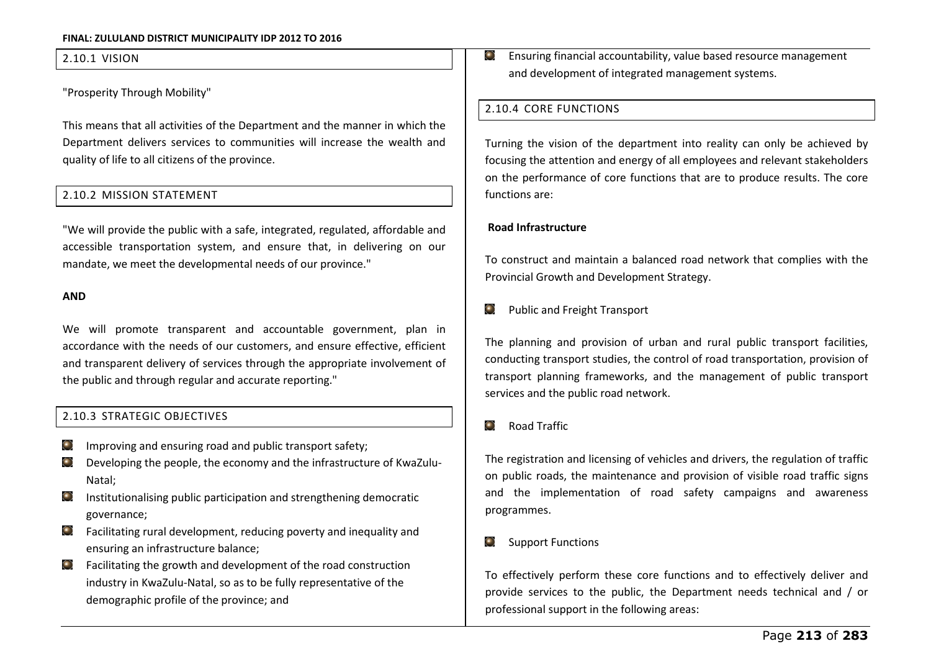#### 2.10.1 VISION

"Prosperity Through Mobility"

This means that all activities of the Department and the manner in which the Department delivers services to communities will increase the wealth and quality of life to all citizens of the province.

## 2.10.2 MISSION STATEMENT

"We will provide the public with a safe, integrated, regulated, affordable and accessible transportation system, and ensure that, in delivering on our mandate, we meet the developmental needs of our province."

#### **AND**

We will promote transparent and accountable government, plan in accordance with the needs of our customers, and ensure effective, efficient and transparent delivery of services through the appropriate involvement of the public and through regular and accurate reporting."

### 2.10.3 STRATEGIC OBJECTIVES

- Improving and ensuring road and public transport safety;  $\left( \bullet \right)$
- Developing the people, the economy and the infrastructure of KwaZulu- $\bullet$ Natal;
- Institutionalising public participation and strengthening democratic governance;
- Facilitating rural development, reducing poverty and inequality and ensuring an infrastructure balance;
- Facilitating the growth and development of the road construction  $\bullet$ industry in KwaZulu-Natal, so as to be fully representative of the demographic profile of the province; and

Ensuring financial accountability, value based resource management  $\odot$ and development of integrated management systems.

## 2.10.4 CORE FUNCTIONS

Turning the vision of the department into reality can only be achieved by focusing the attention and energy of all employees and relevant stakeholders on the performance of core functions that are to produce results. The core functions are:

#### **Road Infrastructure**

To construct and maintain a balanced road network that complies with the Provincial Growth and Development Strategy.

#### Public and Freight Transport  $\left( \cdot \right)$

The planning and provision of urban and rural public transport facilities, conducting transport studies, the control of road transportation, provision of transport planning frameworks, and the management of public transport services and the public road network.

#### $\bullet$ Road Traffic

The registration and licensing of vehicles and drivers, the regulation of traffic on public roads, the maintenance and provision of visible road traffic signs and the implementation of road safety campaigns and awareness programmes.

#### Support Functions  $\bigodot$

To effectively perform these core functions and to effectively deliver and provide services to the public, the Department needs technical and / or professional support in the following areas: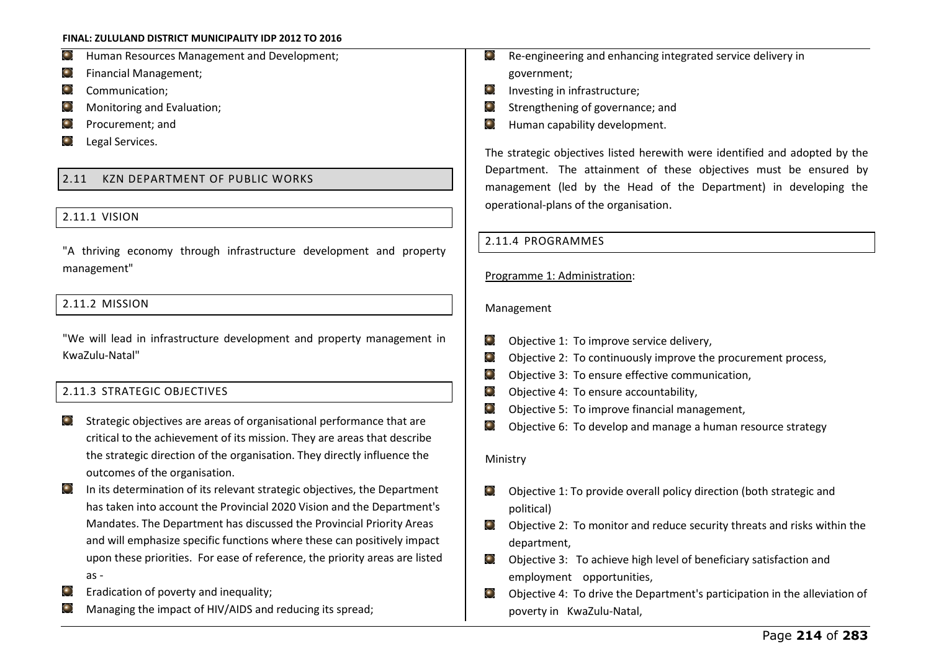۹ Human Resources Management and Development;

- $\left( \begin{matrix} 0 \\ 1 \end{matrix} \right)$ Financial Management;
- $\bullet$ Communication;
- $\left( \begin{matrix} \bullet \\ \bullet \end{matrix} \right)$ Monitoring and Evaluation;
- $\bullet$ Procurement; and
- Legal Services.  $\bullet$

# 2.11 KZN DEPARTMENT OF PUBLIC WORKS

## 2.11.1 VISION

"A thriving economy through infrastructure development and property management"

## 2.11.2 MISSION

"We will lead in infrastructure development and property management in KwaZulu-Natal"

## 2.11.3 STRATEGIC OBJECTIVES

- Strategic objectives are areas of organisational performance that are critical to the achievement of its mission. They are areas that describe the strategic direction of the organisation. They directly influence the outcomes of the organisation.
- $\left( \bullet \right)$ In its determination of its relevant strategic objectives, the Department has taken into account the Provincial 2020 Vision and the Department's Mandates. The Department has discussed the Provincial Priority Areas and will emphasize specific functions where these can positively impact upon these priorities. For ease of reference, the priority areas are listed as -
- Eradication of poverty and inequality;
- Managing the impact of HIV/AIDS and reducing its spread;
- Re-engineering and enhancing integrated service delivery in  $\left( \begin{matrix} \bullet \\ \bullet \end{matrix} \right)$ government;
- $\bigodot$ Investing in infrastructure;
- Strengthening of governance; and
- Human capability development.  $\bigodot$

The strategic objectives listed herewith were identified and adopted by the Department. The attainment of these objectives must be ensured by management (led by the Head of the Department) in developing the operational-plans of the organisation.

## 2.11.4 PROGRAMMES

## Programme 1: Administration:

### Management

- Objective 1: To improve service delivery,  $\odot$
- $\left( \begin{matrix} \bullet \\ \bullet \end{matrix} \right)$ Objective 2: To continuously improve the procurement process,
- $\bullet$ Objective 3: To ensure effective communication,
- $\odot$ Objective 4: To ensure accountability,
- $\odot$ Objective 5: To improve financial management,
- $\bigodot$ Objective 6: To develop and manage a human resource strategy

### Ministry

- $\bigodot$ Objective 1: To provide overall policy direction (both strategic and political)
- Objective 2: To monitor and reduce security threats and risks within the  $\bigodot$ department,
- $\left( \begin{matrix} \bullet \\ \bullet \end{matrix} \right)$ Objective 3: To achieve high level of beneficiary satisfaction and employment opportunities,
- Objective 4: To drive the Department's participation in the alleviation of  $\bigodot$ poverty in KwaZulu-Natal,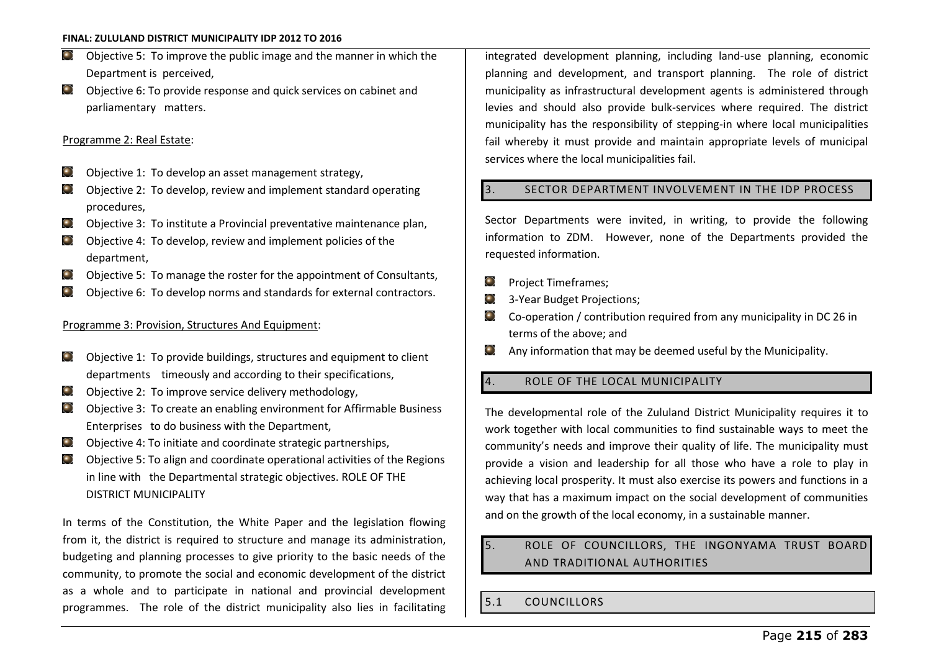- $\left( \begin{matrix} 0 \\ 1 \end{matrix} \right)$ Objective 5: To improve the public image and the manner in which the Department is perceived,
- $\bullet$ Objective 6: To provide response and quick services on cabinet and parliamentary matters.

#### Programme 2: Real Estate:

- $\odot$ Objective 1: To develop an asset management strategy,
- Objective 2: To develop, review and implement standard operating  $\left( \bullet \right)$ procedures,
- $\bullet$ Objective 3: To institute a Provincial preventative maintenance plan,
- Objective 4: To develop, review and implement policies of the  $\left( \bullet \right)$ department,
- Objective 5: To manage the roster for the appointment of Consultants,  $\bullet$
- Objective 6: To develop norms and standards for external contractors.

## Programme 3: Provision, Structures And Equipment:

- Objective 1: To provide buildings, structures and equipment to client ⊙ departments timeously and according to their specifications,
- Objective 2: To improve service delivery methodology,  $\left( \begin{matrix} \bullet \\ \bullet \end{matrix} \right)$
- Objective 3: To create an enabling environment for Affirmable Business  $\left( \bullet \right)$ Enterprises to do business with the Department,
- $\left( \bullet \right)$ Objective 4: To initiate and coordinate strategic partnerships,
- Objective 5: To align and coordinate operational activities of the Regions  $\left( \bullet \right)$ in line with the Departmental strategic objectives. ROLE OF THE DISTRICT MUNICIPALITY

In terms of the Constitution, the White Paper and the legislation flowing from it, the district is required to structure and manage its administration, budgeting and planning processes to give priority to the basic needs of the community, to promote the social and economic development of the district as a whole and to participate in national and provincial development programmes. The role of the district municipality also lies in facilitating integrated development planning, including land-use planning, economic planning and development, and transport planning. The role of district municipality as infrastructural development agents is administered through levies and should also provide bulk-services where required. The district municipality has the responsibility of stepping-in where local municipalities fail whereby it must provide and maintain appropriate levels of municipal services where the local municipalities fail.

## 3. SECTOR DEPARTMENT INVOLVEMENT IN THE IDP PROCESS

Sector Departments were invited, in writing, to provide the following information to ZDM. However, none of the Departments provided the requested information.

- Project Timeframes; Θ
- $\bigodot$ 3-Year Budget Projections;
- $\bullet$ Co-operation / contribution required from any municipality in DC 26 in terms of the above; and
- Any information that may be deemed useful by the Municipality.  $\bigodot$

## 4. ROLE OF THE LOCAL MUNICIPALITY

The developmental role of the Zululand District Municipality requires it to work together with local communities to find sustainable ways to meet the community's needs and improve their quality of life. The municipality must provide a vision and leadership for all those who have a role to play in achieving local prosperity. It must also exercise its powers and functions in a way that has a maximum impact on the social development of communities and on the growth of the local economy, in a sustainable manner.

# 5. ROLE OF COUNCILLORS, THE INGONYAMA TRUST BOARD AND TRADITIONAL AUTHORITIES

5.1 COUNCILLORS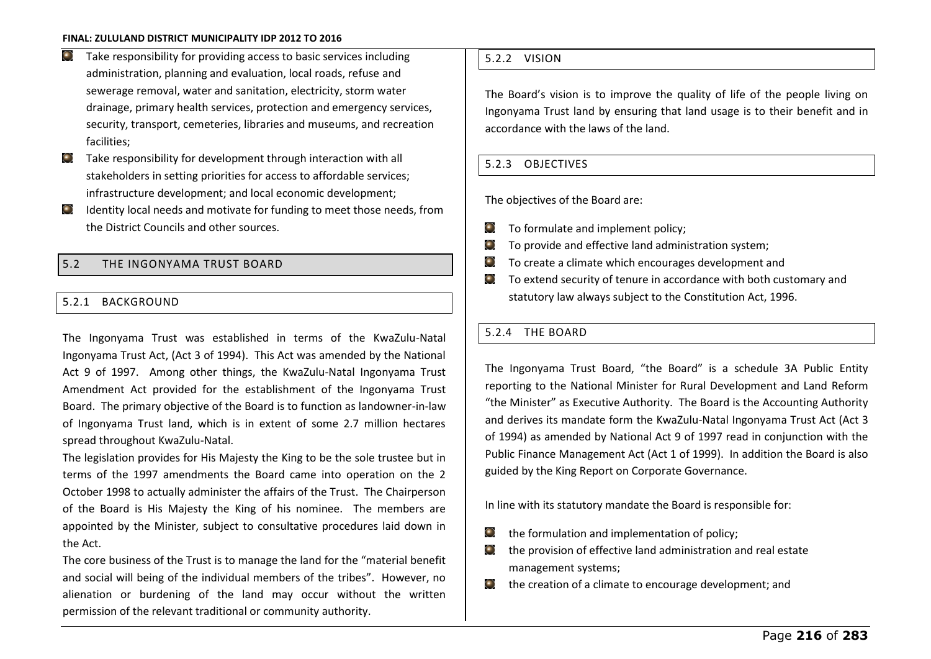- Take responsibility for providing access to basic services including  $\bullet$ administration, planning and evaluation, local roads, refuse and sewerage removal, water and sanitation, electricity, storm water drainage, primary health services, protection and emergency services, security, transport, cemeteries, libraries and museums, and recreation facilities;
- Take responsibility for development through interaction with all  $\bigodot$ stakeholders in setting priorities for access to affordable services; infrastructure development; and local economic development;
- $\left( \bullet \right)$ Identity local needs and motivate for funding to meet those needs, from the District Councils and other sources.

## 5.2 THE INGONYAMA TRUST BOARD

## 5.2.1 BACKGROUND

The Ingonyama Trust was established in terms of the KwaZulu-Natal Ingonyama Trust Act, (Act 3 of 1994). This Act was amended by the National Act 9 of 1997. Among other things, the KwaZulu-Natal Ingonyama Trust Amendment Act provided for the establishment of the Ingonyama Trust Board. The primary objective of the Board is to function as landowner-in-law of Ingonyama Trust land, which is in extent of some 2.7 million hectares spread throughout KwaZulu-Natal.

The legislation provides for His Majesty the King to be the sole trustee but in terms of the 1997 amendments the Board came into operation on the 2 October 1998 to actually administer the affairs of the Trust. The Chairperson of the Board is His Majesty the King of his nominee. The members are appointed by the Minister, subject to consultative procedures laid down in the Act.

The core business of the Trust is to manage the land for the "material benefit" and social will being of the individual members of the tribes". However, no alienation or burdening of the land may occur without the written permission of the relevant traditional or community authority.

## 5.2.2 VISION

The Board's vision is to improve the quality of life of the people living on Ingonyama Trust land by ensuring that land usage is to their benefit and in accordance with the laws of the land.

## 5.2.3 OBJECTIVES

The objectives of the Board are:

- $\left( \begin{matrix} \bullet \\ \bullet \end{matrix} \right)$ To formulate and implement policy;
- $\odot$ To provide and effective land administration system;
- $\bigodot$ To create a climate which encourages development and
- To extend security of tenure in accordance with both customary and  $\odot$ statutory law always subject to the Constitution Act, 1996.

## 5.2.4 THE BOARD

The Ingonyama Trust Board, "the Board" is a schedule 3A Public Entity reporting to the National Minister for Rural Development and Land Reform "the Minister" as Executive Authority. The Board is the Accounting Authority and derives its mandate form the KwaZulu-Natal Ingonyama Trust Act (Act 3 of 1994) as amended by National Act 9 of 1997 read in conjunction with the Public Finance Management Act (Act 1 of 1999). In addition the Board is also guided by the King Report on Corporate Governance.

In line with its statutory mandate the Board is responsible for:

- the formulation and implementation of policy;  $\odot$
- $\bigodot$ the provision of effective land administration and real estate management systems;
- $\bullet$  the creation of a climate to encourage development; and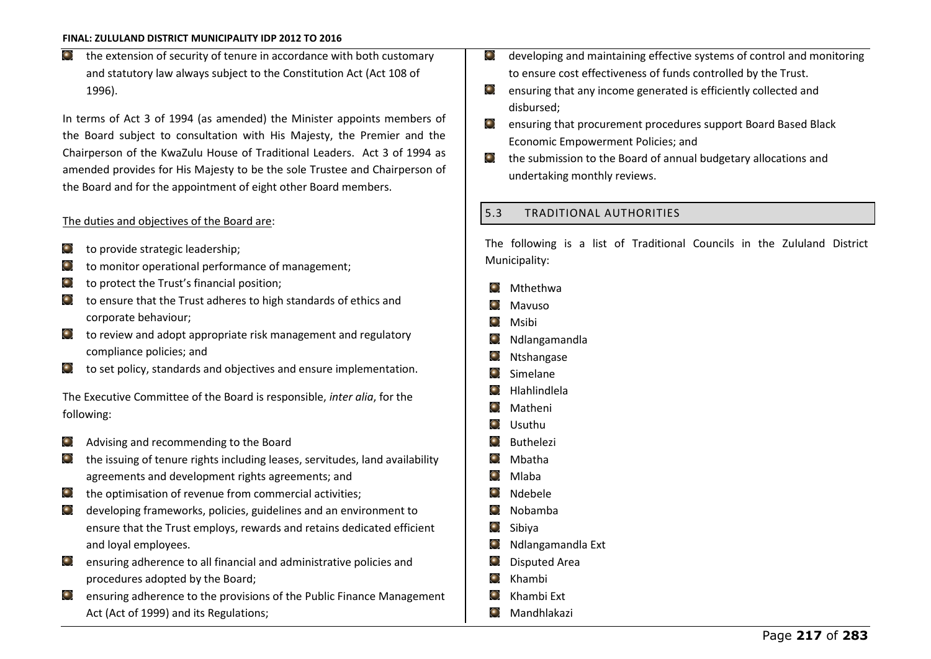$\left( \bullet \right)$ the extension of security of tenure in accordance with both customary and statutory law always subject to the Constitution Act (Act 108 of 1996).

In terms of Act 3 of 1994 (as amended) the Minister appoints members of the Board subject to consultation with His Majesty, the Premier and the Chairperson of the KwaZulu House of Traditional Leaders. Act 3 of 1994 as amended provides for His Majesty to be the sole Trustee and Chairperson of the Board and for the appointment of eight other Board members.

## The duties and objectives of the Board are:

- to provide strategic leadership;  $\bullet$
- to monitor operational performance of management;  $\bigodot$
- to protect the Trust's financial position;  $\bullet$
- to ensure that the Trust adheres to high standards of ethics and corporate behaviour;
- $\bigodot$ to review and adopt appropriate risk management and regulatory compliance policies; and
- to set policy, standards and objectives and ensure implementation.

The Executive Committee of the Board is responsible, *inter alia*, for the following:

- Advising and recommending to the Board
- the issuing of tenure rights including leases, servitudes, land availability agreements and development rights agreements; and
- the optimisation of revenue from commercial activities;  $\bigodot$
- developing frameworks, policies, guidelines and an environment to ensure that the Trust employs, rewards and retains dedicated efficient and loyal employees.
- ensuring adherence to all financial and administrative policies and procedures adopted by the Board;
- ensuring adherence to the provisions of the Public Finance Management Act (Act of 1999) and its Regulations;
- developing and maintaining effective systems of control and monitoring  $\odot$ to ensure cost effectiveness of funds controlled by the Trust.
- $\bullet$ ensuring that any income generated is efficiently collected and disbursed;
- ensuring that procurement procedures support Board Based Black  $\bigodot$ Economic Empowerment Policies; and
- $\left( \begin{matrix} \bullet \\ \bullet \end{matrix} \right)$ the submission to the Board of annual budgetary allocations and undertaking monthly reviews.

## 5.3 TRADITIONAL AUTHORITIES

The following is a list of Traditional Councils in the Zululand District Municipality:

- Mthethwa C
- $\bullet$ Mavuso
- $\bigodot$ Msibi
- Θ Ndlangamandla
- Ntshangase  $\bullet$
- × Simelane
- Hlahlindlela
- ۰ Matheni
- ۰ Usuthu
- ۰ Buthelezi
- Mbatha
- $\bullet$ Mlaba
- $\blacksquare$ Ndebele
- $\bullet$ Nobamba
- $\odot$ Sibiya
- $\bigodot$ Ndlangamandla Ext
- O Disputed Area
- $\bullet$ Khambi
- $\blacksquare$ Khambi Ext
- $\bigodot$ Mandhlakazi